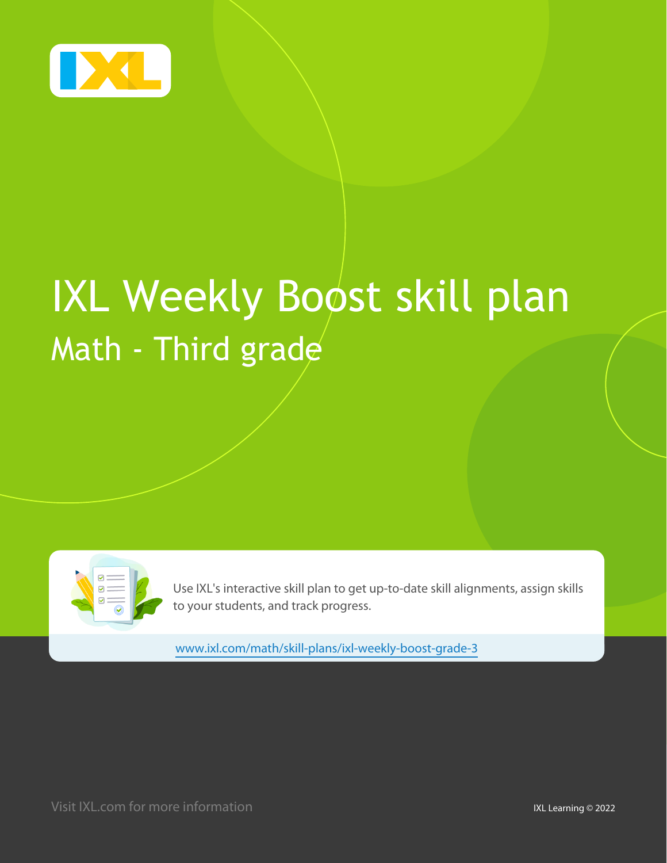

# **IXL Weekly Boost skill plan** Math - Third grade

|--|

Use IXL's interactive skill plan to get up-to-date skill alignments, assign skills to your students, and track progress.

www.ixl.com/math/skill-plans/ixl-weekly-boost-grade-3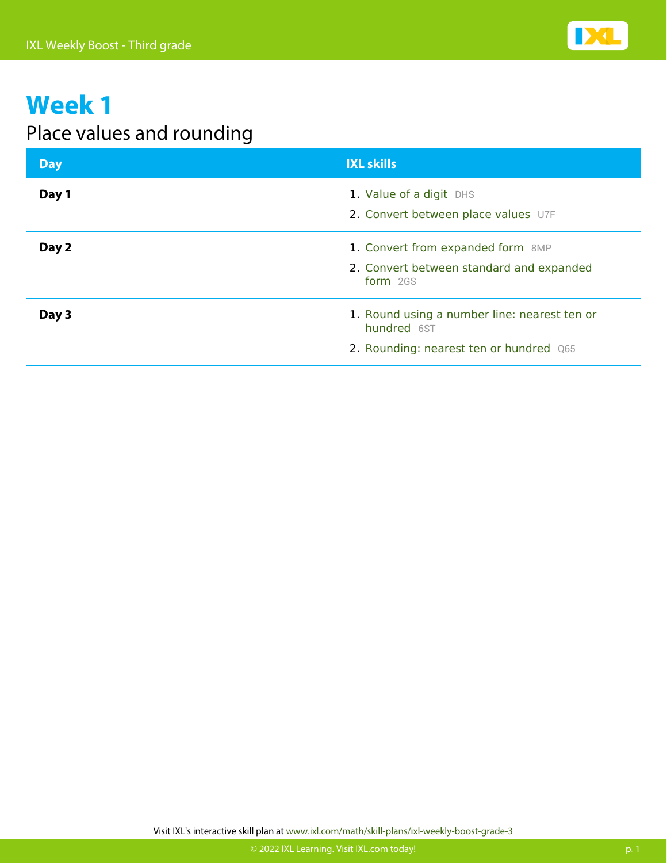

#### Place values and rounding

| <b>Day</b> | <b>IXL skills</b>                                                                                      |
|------------|--------------------------------------------------------------------------------------------------------|
| Day 1      | 1. Value of a digit DHS<br>2. Convert between place values U7F                                         |
| Day 2      | 1. Convert from expanded form 8MP<br>2. Convert between standard and expanded<br>form 2GS              |
| Day 3      | 1. Round using a number line: nearest ten or<br>hundred 6ST<br>2. Rounding: nearest ten or hundred Q65 |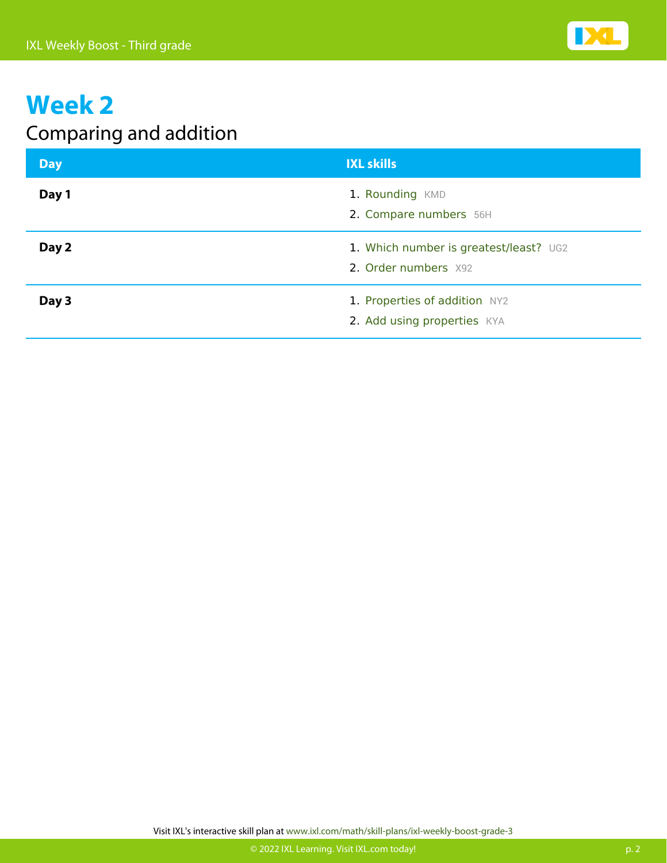

#### Comparing and addition

| Day   | <b>IXL skills</b>                                              |
|-------|----------------------------------------------------------------|
| Day 1 | 1. Rounding KMD<br>2. Compare numbers 56H                      |
| Day 2 | 1. Which number is greatest/least? UG2<br>2. Order numbers X92 |
| Day 3 | 1. Properties of addition NY2<br>2. Add using properties KYA   |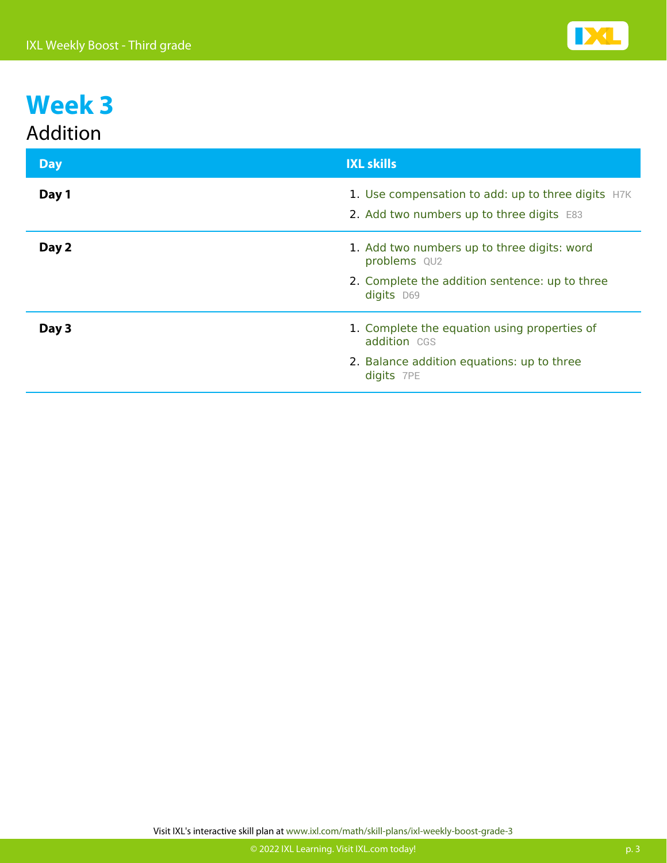#### Addition

| <b>Day</b> | <b>IXL skills</b>                                                                               |
|------------|-------------------------------------------------------------------------------------------------|
| Day 1      | 1. Use compensation to add: up to three digits H7K<br>2. Add two numbers up to three digits E83 |
| Day 2      | 1. Add two numbers up to three digits: word<br>problems QU2                                     |
|            | 2. Complete the addition sentence: up to three<br>digits D69                                    |
| Day 3      | 1. Complete the equation using properties of<br>addition CGS                                    |
|            | 2. Balance addition equations: up to three<br>digits 7PE                                        |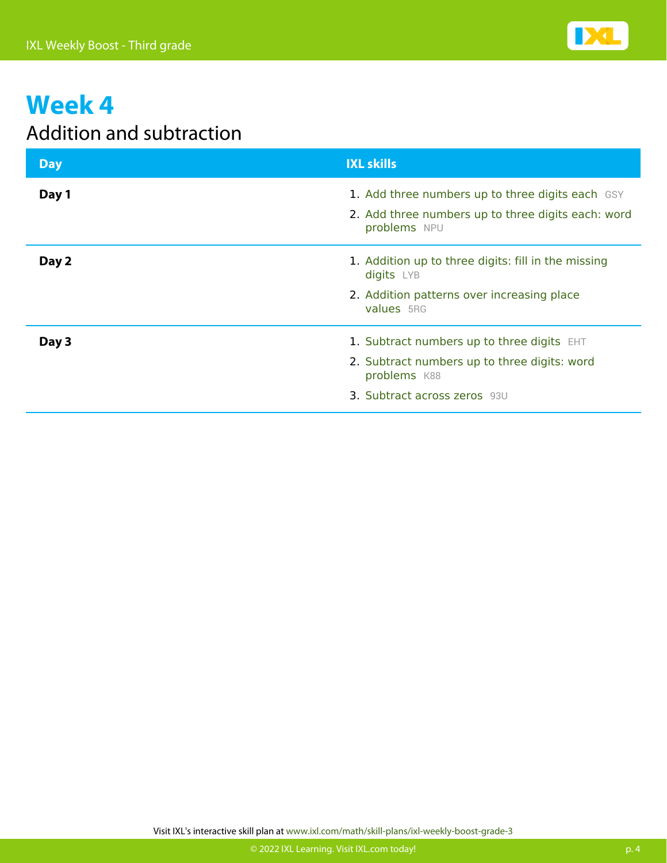

#### Addition and subtraction

| <b>Day</b> | <b>IXL skills</b>                                                                                                                                 |
|------------|---------------------------------------------------------------------------------------------------------------------------------------------------|
| Day 1      | 1. Add three numbers up to three digits each GSY<br>2. Add three numbers up to three digits each: word<br>problems NPU                            |
| Day 2      | 1. Addition up to three digits: fill in the missing<br>digits LYB<br>2. Addition patterns over increasing place<br>values 5RG                     |
| Day 3      | 1. Subtract numbers up to three digits EHT<br>2. Subtract numbers up to three digits: word<br>problems K88<br><b>3. Subtract across zeros</b> 93U |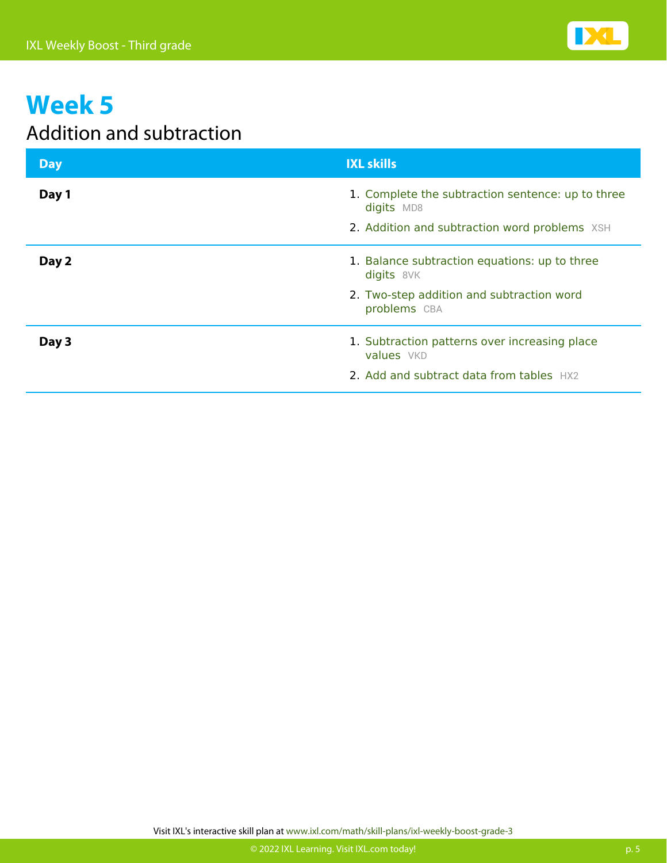

#### Addition and subtraction

| <b>Day</b> | <b>IXL skills</b>                                               |
|------------|-----------------------------------------------------------------|
| Day 1      | 1. Complete the subtraction sentence: up to three<br>digits MD8 |
|            | 2. Addition and subtraction word problems XSH                   |
| Day 2      | 1. Balance subtraction equations: up to three<br>digits 8VK     |
|            | 2. Two-step addition and subtraction word<br>problems CBA       |
| Day 3      | 1. Subtraction patterns over increasing place<br>values VKD     |
|            | 2. Add and subtract data from tables HX2                        |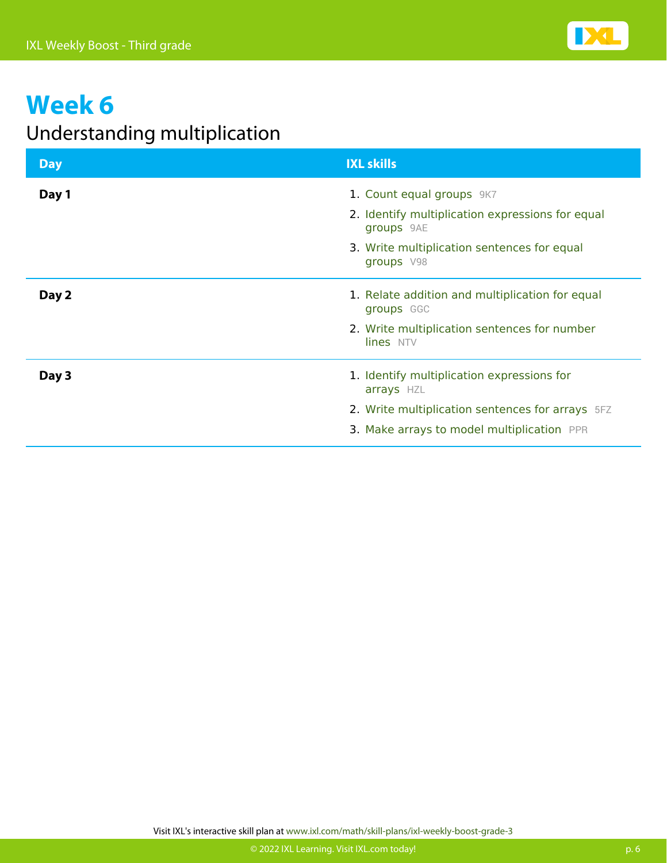

#### Understanding multiplication

| <b>Day</b> | <b>IXL skills</b>                                              |
|------------|----------------------------------------------------------------|
| Day 1      | 1. Count equal groups 9K7                                      |
|            | 2. Identify multiplication expressions for equal<br>groups 9AE |
|            | 3. Write multiplication sentences for equal<br>groups V98      |
| Day 2      | 1. Relate addition and multiplication for equal<br>groups GGC  |
|            | 2. Write multiplication sentences for number<br>lines NTV      |
| Day 3      | 1. Identify multiplication expressions for<br>arrays HZL       |
|            | 2. Write multiplication sentences for arrays 5FZ               |
|            | 3. Make arrays to model multiplication PPR                     |

Visit IXL's interactive skill plan at www.ixl.com/math/skill-plans/ixl-weekly-boost-grade-3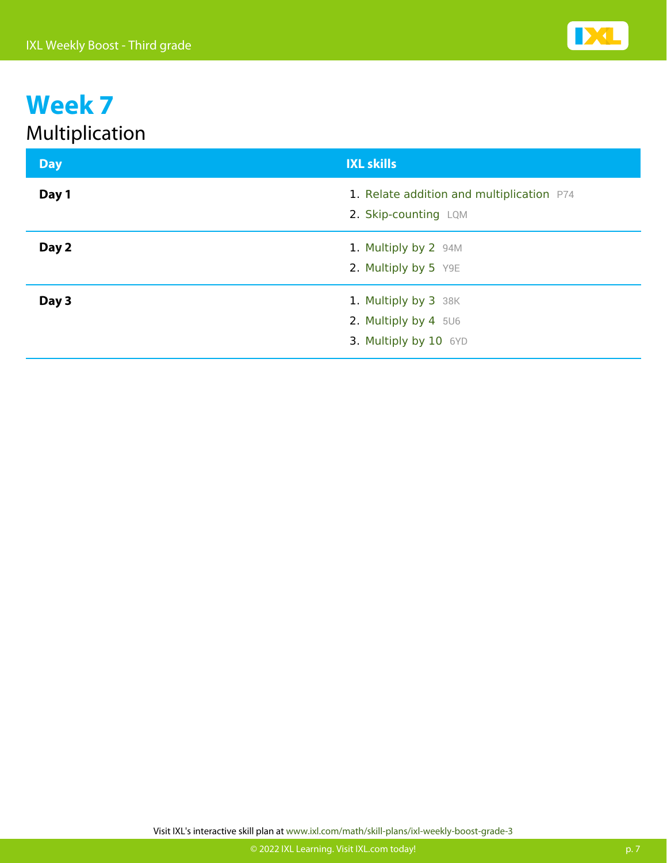| <b>Day</b> | <b>IXL skills</b>                                                     |
|------------|-----------------------------------------------------------------------|
| Day 1      | 1. Relate addition and multiplication P74<br>2. Skip-counting LQM     |
| Day 2      | 1. Multiply by 2 94M<br>2. Multiply by 5 Y9E                          |
| Day 3      | 1. Multiply by 3 38K<br>2. Multiply by 4 5U6<br>3. Multiply by 10 6YD |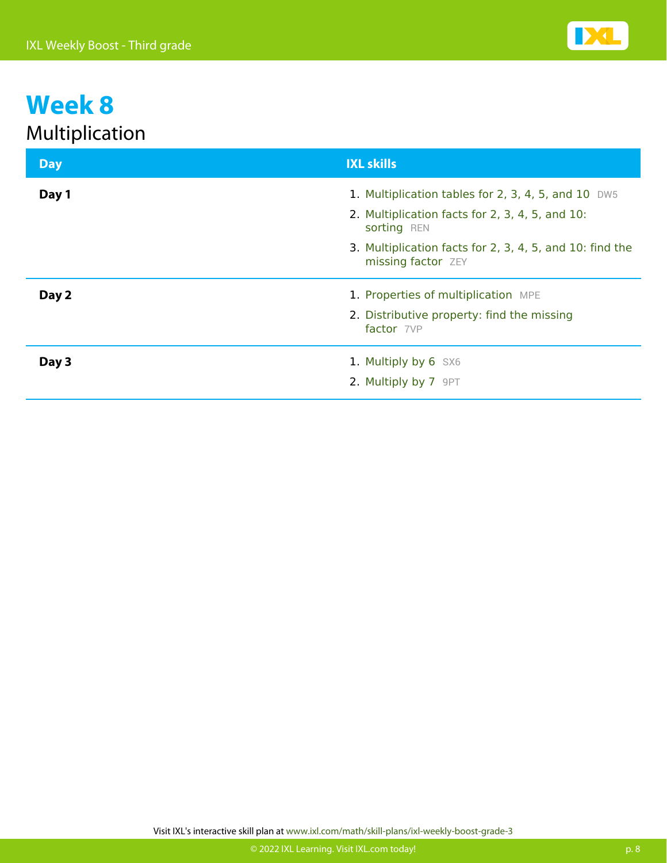| <b>Day</b> | <b>IXL skills</b>                                                                                                                                                                 |
|------------|-----------------------------------------------------------------------------------------------------------------------------------------------------------------------------------|
| Day 1      | 1. Multiplication tables for 2, 3, 4, 5, and 10 DW5<br>2. Multiplication facts for 2, 3, 4, 5, and 10:<br>sorting REN<br>3. Multiplication facts for 2, 3, 4, 5, and 10: find the |
|            | missing factor ZEY                                                                                                                                                                |
| Day 2      | 1. Properties of multiplication MPE                                                                                                                                               |
|            | 2. Distributive property: find the missing<br>factor 7VP                                                                                                                          |
| Day 3      | 1. Multiply by 6 SX6                                                                                                                                                              |
|            | 2. Multiply by 7 9PT                                                                                                                                                              |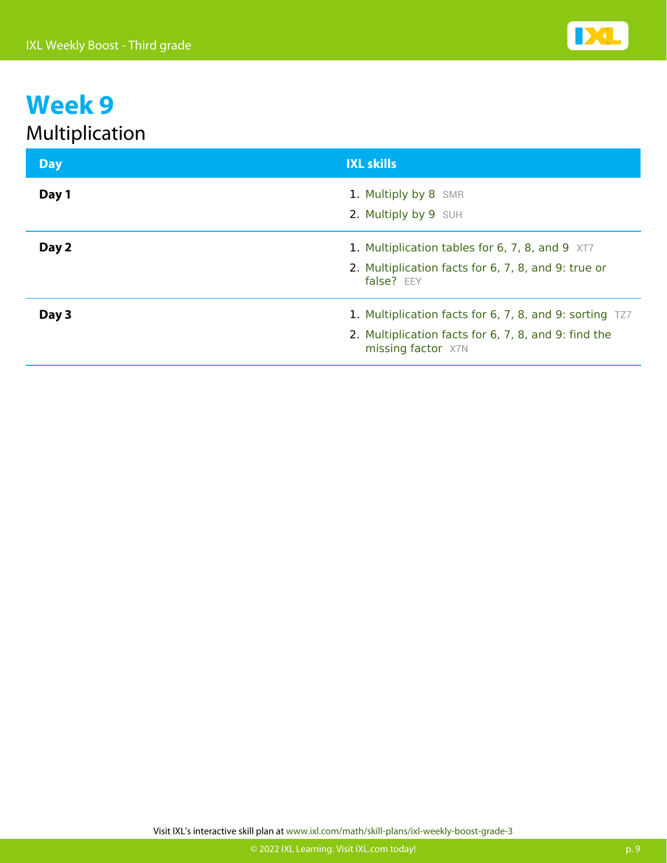| <b>Day</b> | <b>IXL skills</b>                                                                                                                     |
|------------|---------------------------------------------------------------------------------------------------------------------------------------|
| Day 1      | 1. Multiply by 8 SMR<br>2. Multiply by 9 SUH                                                                                          |
| Day 2      | 1. Multiplication tables for 6, 7, 8, and 9 XT7<br>2. Multiplication facts for 6, 7, 8, and 9: true or<br>false? EEY                  |
| Day 3      | 1. Multiplication facts for 6, 7, 8, and 9: sorting TZ7<br>2. Multiplication facts for 6, 7, 8, and 9: find the<br>missing factor X7N |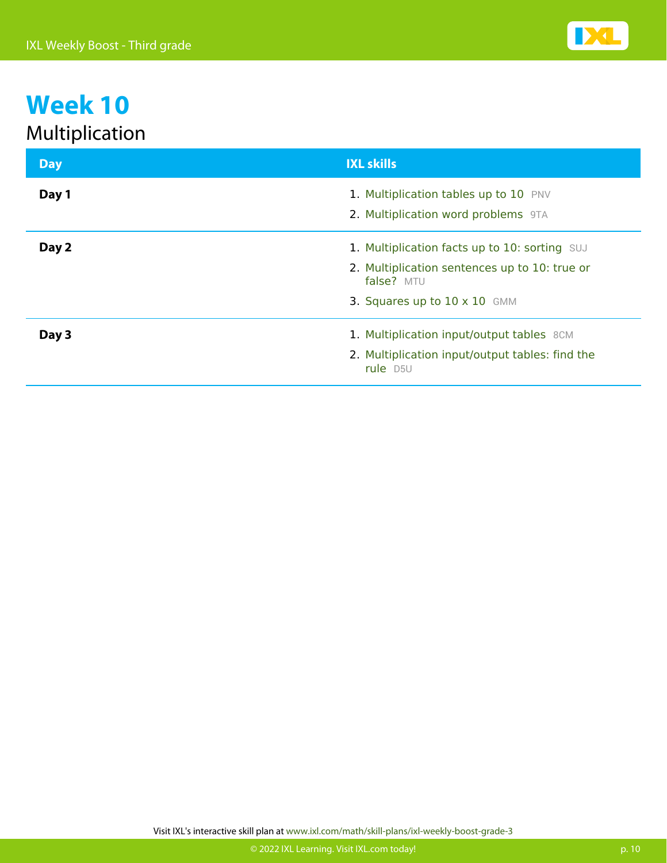| <b>Day</b> | <b>IXL skills</b>                                                                                                                                   |
|------------|-----------------------------------------------------------------------------------------------------------------------------------------------------|
| Day 1      | 1. Multiplication tables up to 10 PNV<br>2. Multiplication word problems 9TA                                                                        |
| Day 2      | 1. Multiplication facts up to 10: sorting SUJ<br>2. Multiplication sentences up to 10: true or<br>false? MTU<br>3. Squares up to $10 \times 10$ GMM |
| Day 3      | 1. Multiplication input/output tables 8CM<br>2. Multiplication input/output tables: find the<br>rule D5U                                            |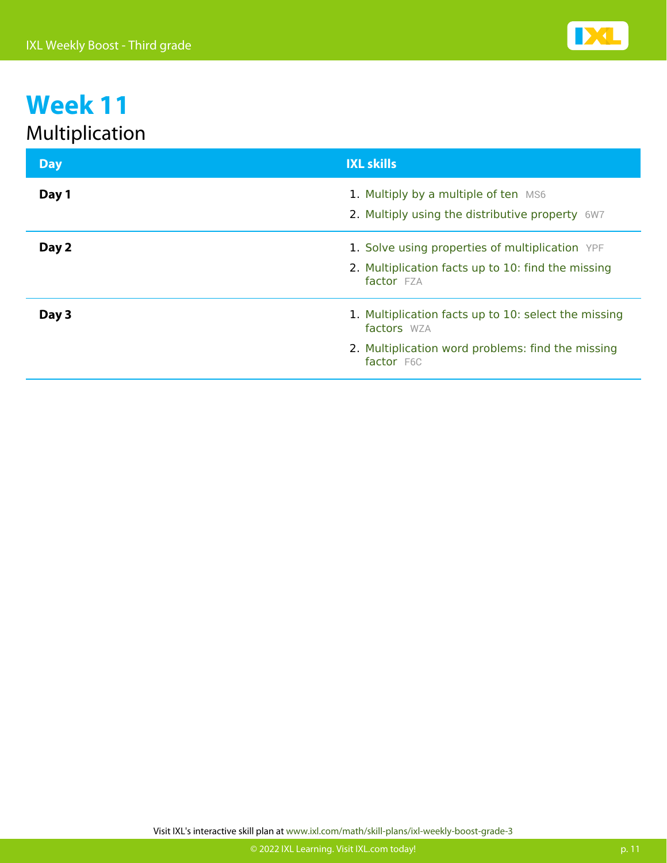| <b>Day</b> | <b>IXL skills</b>                                                                                                                      |
|------------|----------------------------------------------------------------------------------------------------------------------------------------|
| Day 1      | 1. Multiply by a multiple of ten MS6<br>2. Multiply using the distributive property 6W7                                                |
| Day 2      | 1. Solve using properties of multiplication YPF<br>2. Multiplication facts up to 10: find the missing<br>factor FZA                    |
| Day 3      | 1. Multiplication facts up to 10: select the missing<br>factors WZA<br>2. Multiplication word problems: find the missing<br>factor F6C |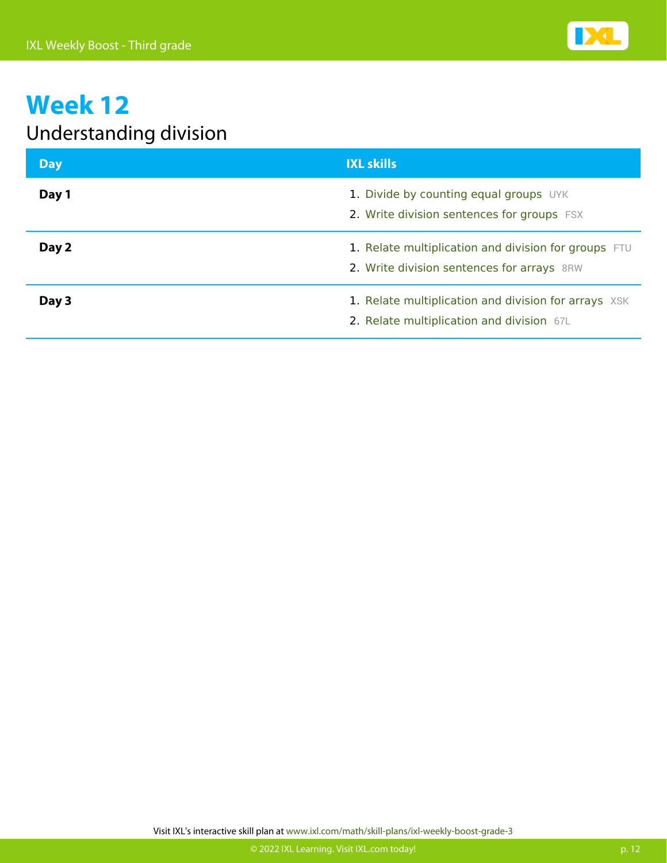

#### Understanding division

| <b>Day</b> | <b>IXL skills</b>                                                                                  |
|------------|----------------------------------------------------------------------------------------------------|
| Day 1      | 1. Divide by counting equal groups UYK<br>2. Write division sentences for groups FSX               |
| Day 2      | 1. Relate multiplication and division for groups FTU<br>2. Write division sentences for arrays 8RW |
| Day 3      | 1. Relate multiplication and division for arrays XSK<br>2. Relate multiplication and division 67L  |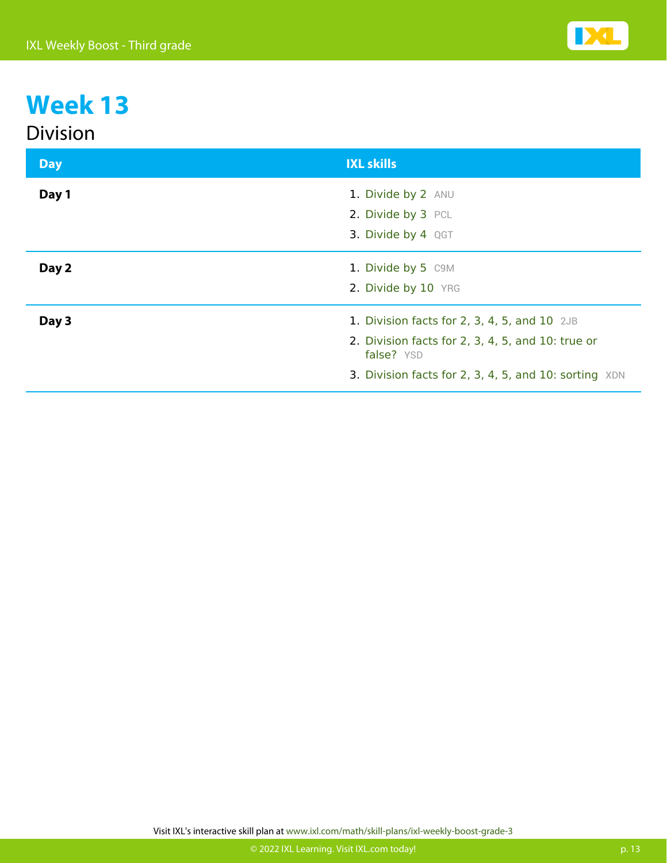#### Division

| <b>Day</b> | <b>IXL skills</b>                                               |
|------------|-----------------------------------------------------------------|
| Day 1      | 1. Divide by 2 ANU<br>2. Divide by 3 PCL                        |
|            | 3. Divide by 4 QGT                                              |
| Day 2      | 1. Divide by 5 C9M                                              |
|            | 2. Divide by 10 YRG                                             |
| Day 3      | 1. Division facts for $2$ , $3$ , $4$ , $5$ , and $10$ $2JB$    |
|            | 2. Division facts for 2, 3, 4, 5, and 10: true or<br>false? YSD |
|            | 3. Division facts for 2, 3, 4, 5, and 10: sorting XDN           |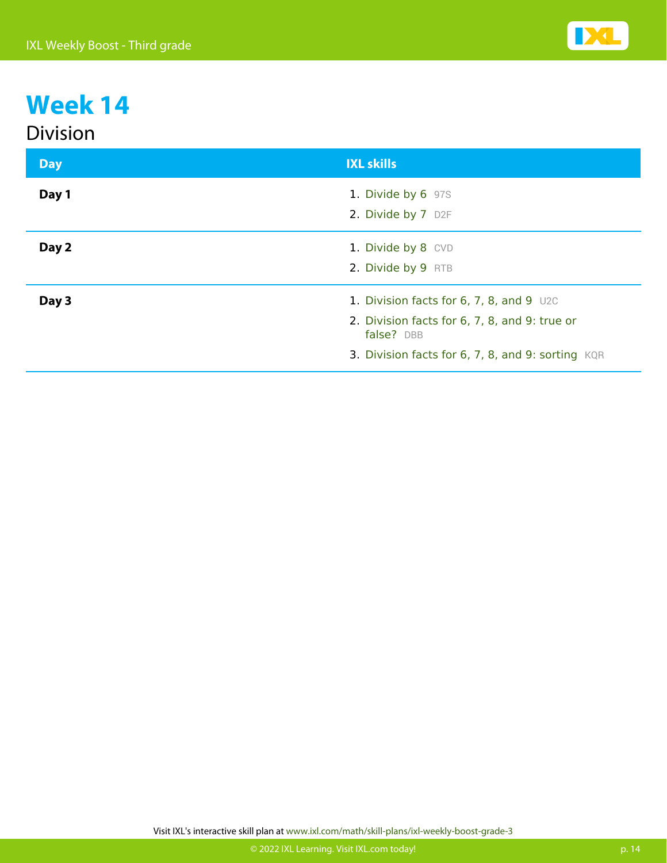#### Division

| <b>Day</b> | <b>IXL skills</b>                                                                                                                                                |
|------------|------------------------------------------------------------------------------------------------------------------------------------------------------------------|
| Day 1      | 1. Divide by 6 97S<br>2. Divide by 7 D2F                                                                                                                         |
| Day 2      | 1. Divide by 8 CVD<br>2. Divide by 9 RTB                                                                                                                         |
| Day 3      | 1. Division facts for $6, 7, 8,$ and $9$ U2C<br>2. Division facts for 6, 7, 8, and 9: true or<br>false? DBB<br>3. Division facts for 6, 7, 8, and 9: sorting KQR |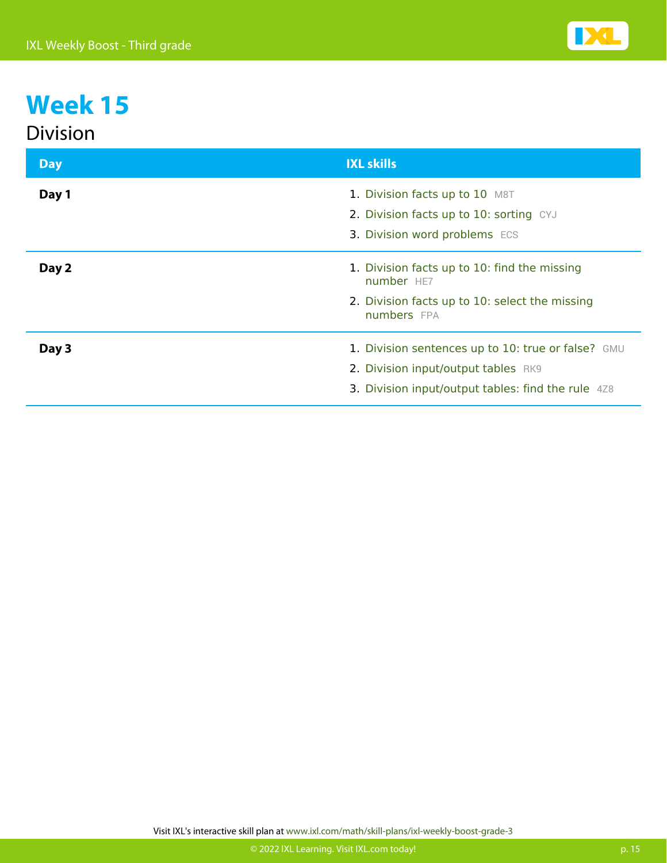| <b>Division</b> |                                                                                                                                                 |
|-----------------|-------------------------------------------------------------------------------------------------------------------------------------------------|
| <b>Day</b>      | <b>IXL skills</b>                                                                                                                               |
| Day 1           | 1. Division facts up to 10 M8T<br>2. Division facts up to 10: sorting CYJ<br>3. Division word problems ECS                                      |
| Day 2           | 1. Division facts up to 10: find the missing<br>number HE7<br>2. Division facts up to 10: select the missing<br>numbers FPA                     |
| Day 3           | 1. Division sentences up to 10: true or false? GMU<br>2. Division input/output tables RK9<br>3. Division input/output tables: find the rule 4Z8 |

Visit IXL's interactive skill plan at www.ixl.com/math/skill-plans/ixl-weekly-boost-grade-3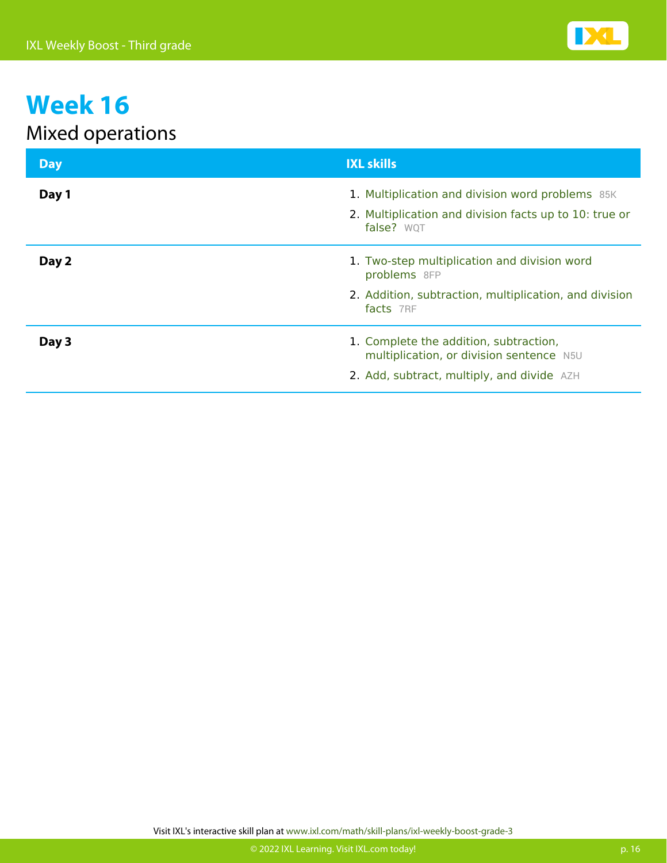

#### Mixed operations

| <b>Day</b> | <b>IXL skills</b>                                                                                          |
|------------|------------------------------------------------------------------------------------------------------------|
| Day 1      | 1. Multiplication and division word problems 85K<br>2. Multiplication and division facts up to 10: true or |
|            | false? WQT                                                                                                 |
| Day 2      | 1. Two-step multiplication and division word<br>problems 8FP                                               |
|            | 2. Addition, subtraction, multiplication, and division<br>facts 7RF                                        |
| Day 3      | 1. Complete the addition, subtraction,<br>multiplication, or division sentence N5U                         |
|            | 2. Add, subtract, multiply, and divide AZH                                                                 |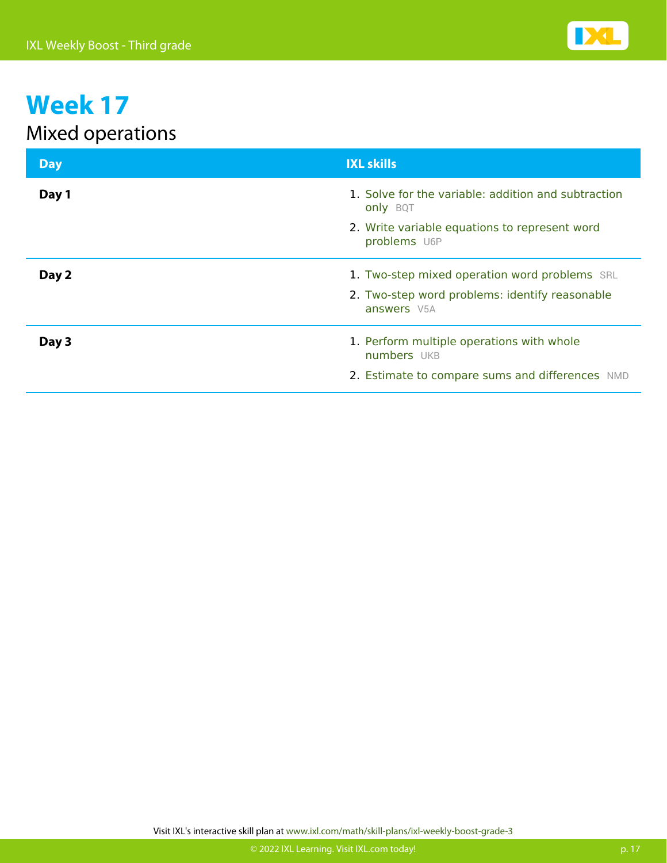

#### Mixed operations

| <b>Day</b> | <b>IXL skills</b>                                                      |
|------------|------------------------------------------------------------------------|
| Day 1      | 1. Solve for the variable: addition and subtraction<br><b>only BQT</b> |
|            | 2. Write variable equations to represent word<br>problems U6P          |
| Day 2      | 1. Two-step mixed operation word problems SRL                          |
|            | 2. Two-step word problems: identify reasonable<br>answers V5A          |
| Day 3      | 1. Perform multiple operations with whole<br>numbers UKB               |
|            | 2. Estimate to compare sums and differences NMD                        |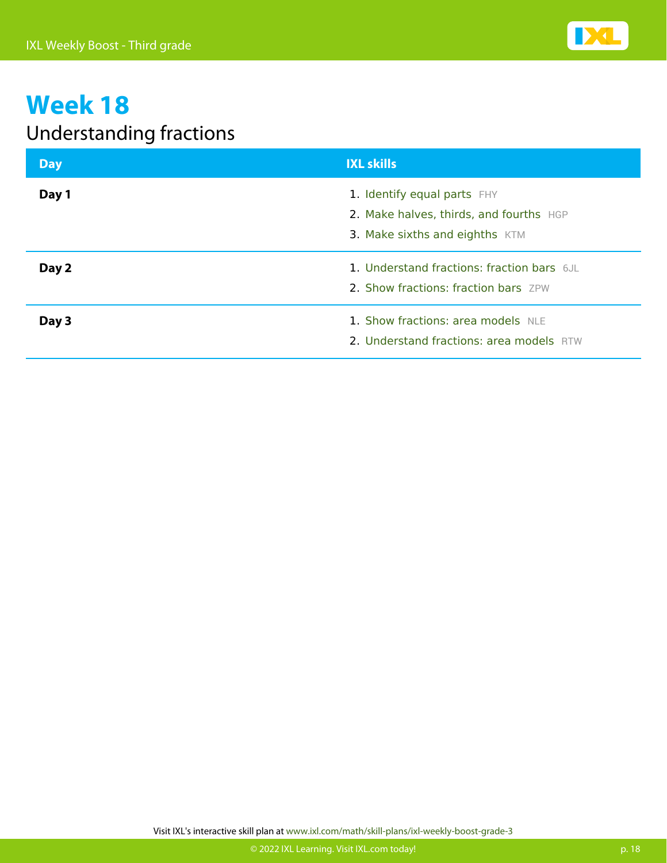

#### Understanding fractions

| <b>Day</b> | <b>IXL skills</b>                                                                                        |
|------------|----------------------------------------------------------------------------------------------------------|
| Day 1      | 1. Identify equal parts FHY<br>2. Make halves, thirds, and fourths HGP<br>3. Make sixths and eighths KTM |
| Day 2      | 1. Understand fractions: fraction bars 6JL<br>2. Show fractions: fraction bars ZPW                       |
| Day 3      | 1. Show fractions: area models NLE<br>2. Understand fractions: area models RTW                           |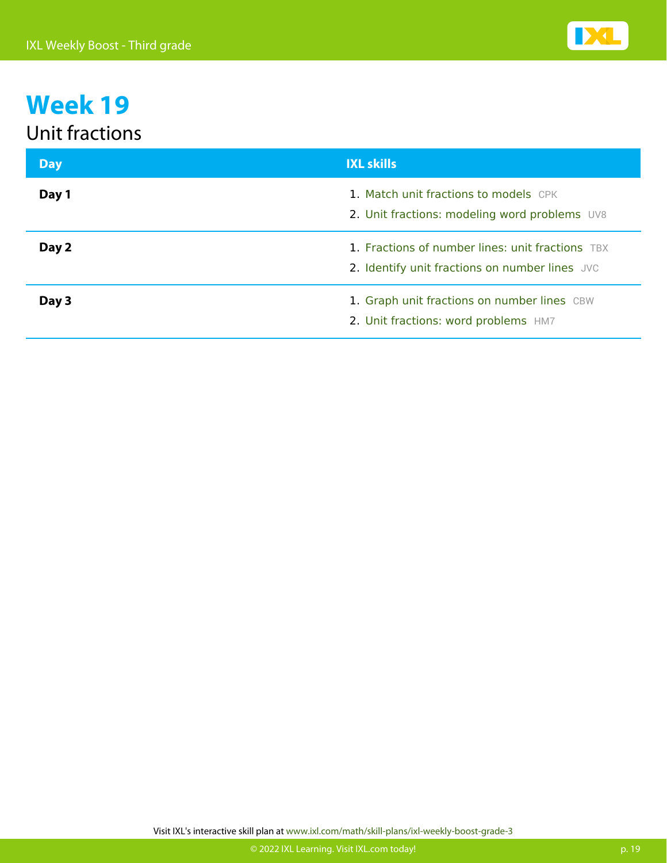#### Unit fractions

| <b>Day</b> | <b>IXL skills</b>                                                                                  |
|------------|----------------------------------------------------------------------------------------------------|
| Day 1      | 1. Match unit fractions to models CPK<br>2. Unit fractions: modeling word problems UV8             |
| Day 2      | 1. Fractions of number lines: unit fractions TBX<br>2. Identify unit fractions on number lines JVC |
| Day 3      | 1. Graph unit fractions on number lines CBW<br>2. Unit fractions: word problems HM7                |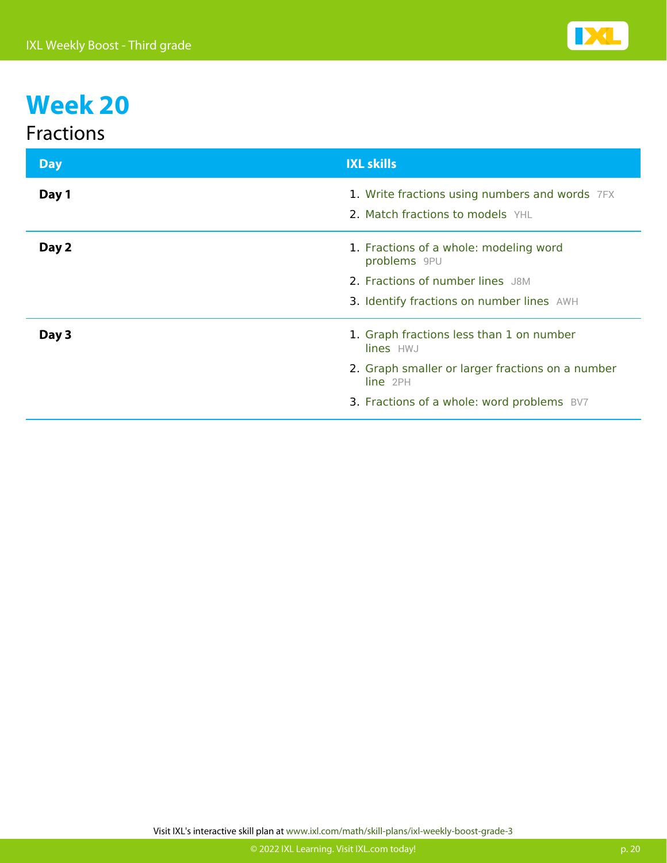#### Fractions

| <b>Day</b> | <b>IXL skills</b>                                                                  |
|------------|------------------------------------------------------------------------------------|
| Day 1      | 1. Write fractions using numbers and words 7FX<br>2. Match fractions to models YHL |
| Day 2      | 1. Fractions of a whole: modeling word<br>problems 9PU                             |
|            | 2. Fractions of number lines J8M                                                   |
|            | 3. Identify fractions on number lines AWH                                          |
| Day 3      | 1. Graph fractions less than 1 on number<br>lines HWJ                              |
|            | 2. Graph smaller or larger fractions on a number<br>line 2PH                       |
|            | 3. Fractions of a whole: word problems BV7                                         |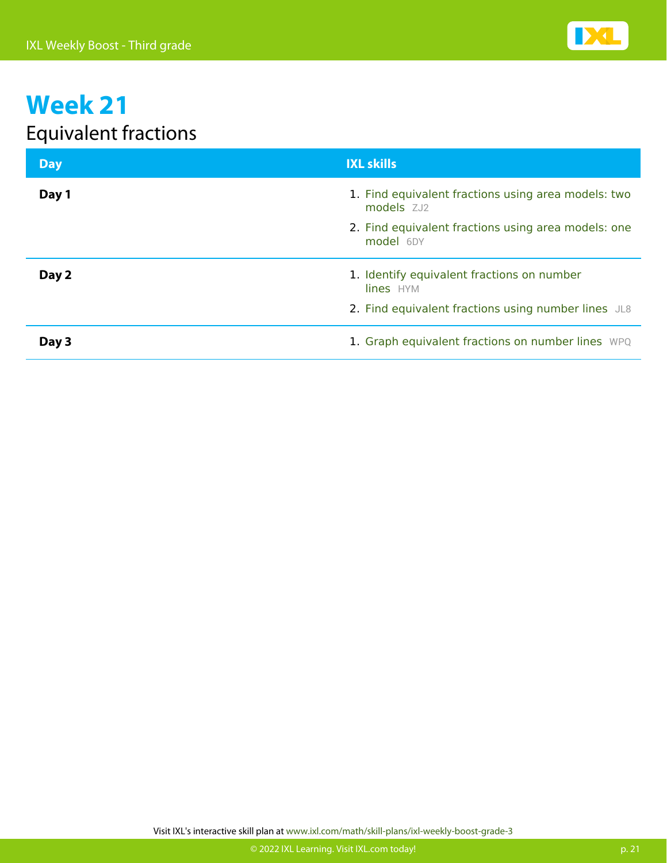

#### Equivalent fractions

| <b>Day</b> | <b>IXL skills</b>                                                 |
|------------|-------------------------------------------------------------------|
| Day 1      | 1. Find equivalent fractions using area models: two<br>models ZJ2 |
|            | 2. Find equivalent fractions using area models: one<br>model 6DY  |
| Day 2      | 1. Identify equivalent fractions on number<br>lines HYM           |
|            | 2. Find equivalent fractions using number lines JL8               |
| Day 3      | 1. Graph equivalent fractions on number lines WPQ                 |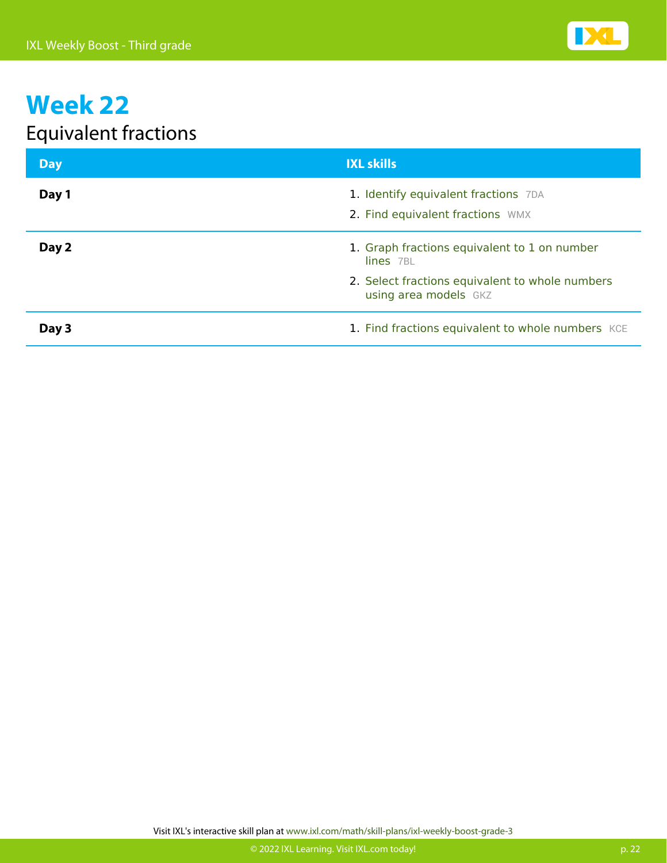

#### Equivalent fractions

| <b>Day</b> | <b>IXL skills</b>                                                        |
|------------|--------------------------------------------------------------------------|
| Day 1      | 1. Identify equivalent fractions 7DA<br>2. Find equivalent fractions WMX |
| Day 2      | 1. Graph fractions equivalent to 1 on number<br>lines 7BL                |
|            | 2. Select fractions equivalent to whole numbers<br>using area models GKZ |
| Day 3      | 1. Find fractions equivalent to whole numbers KCE                        |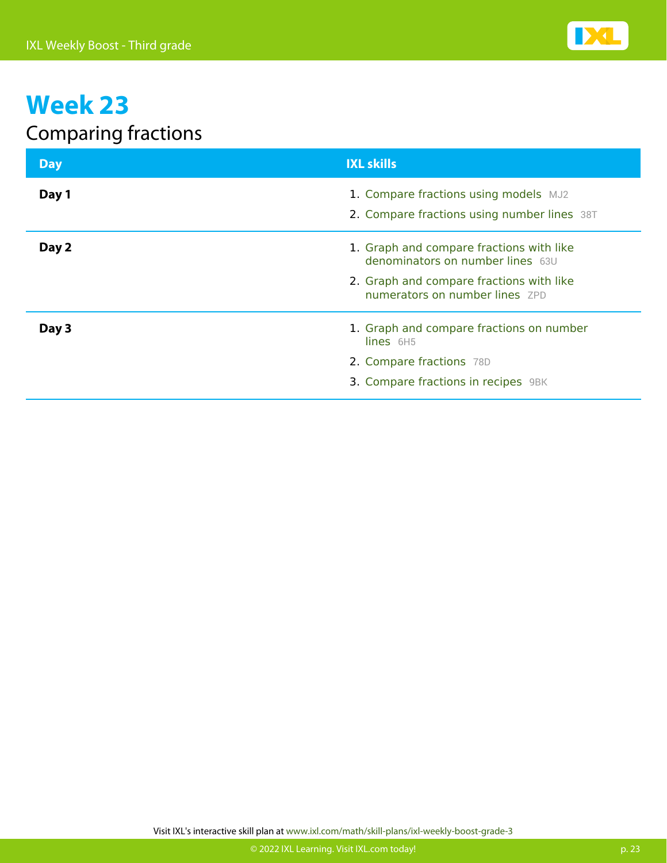

#### Comparing fractions

| <b>Day</b> | <b>IXL skills</b>                                                                                                                                          |
|------------|------------------------------------------------------------------------------------------------------------------------------------------------------------|
| Day 1      | 1. Compare fractions using models MJ2<br>2. Compare fractions using number lines 38T                                                                       |
| Day 2      | 1. Graph and compare fractions with like<br>denominators on number lines 63U<br>2. Graph and compare fractions with like<br>numerators on number lines ZPD |
| Day 3      | 1. Graph and compare fractions on number<br>$lines$ 6H5<br>2. Compare fractions 78D<br>3. Compare fractions in recipes 9BK                                 |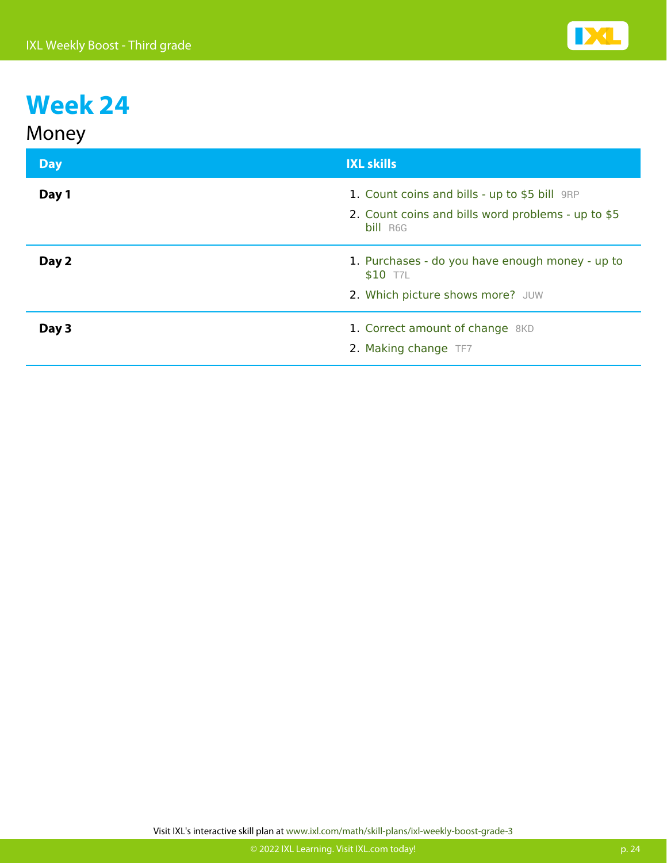| Money      |                                                                |
|------------|----------------------------------------------------------------|
| <b>Day</b> | <b>IXL skills</b>                                              |
| Day 1      | 1. Count coins and bills - up to \$5 bill 9RP                  |
|            | 2. Count coins and bills word problems - up to \$5<br>bill R6G |
| Day 2      | 1. Purchases - do you have enough money - up to<br>\$10 T7L    |
|            | 2. Which picture shows more? JUW                               |
| Day 3      | 1. Correct amount of change 8KD                                |
|            | 2. Making change TF7                                           |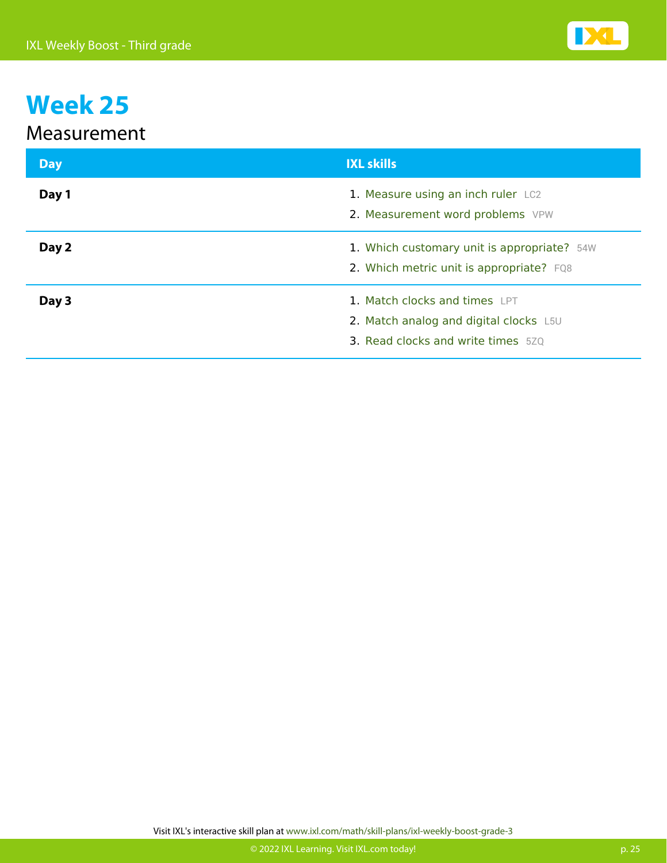#### Measurement

| <b>Day</b> | <b>IXL skills</b>                                                                                                    |
|------------|----------------------------------------------------------------------------------------------------------------------|
| Day 1      | 1. Measure using an inch ruler LC2<br>2. Measurement word problems VPW                                               |
| Day 2      | 1. Which customary unit is appropriate? 54W<br>2. Which metric unit is appropriate? FQ8                              |
| Day 3      | 1. Match clocks and times LPT<br>2. Match analog and digital clocks L5U<br><b>3. Read clocks and write times</b> 520 |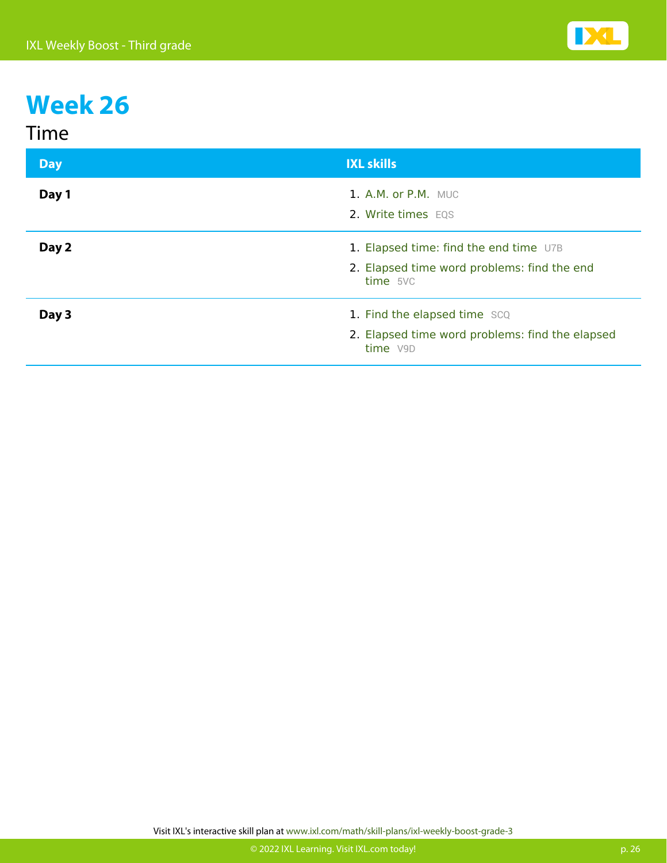#### Time

| <b>Day</b> | <b>IXL skills</b>                                                                                 |
|------------|---------------------------------------------------------------------------------------------------|
| Day 1      | <b>1. A.M. or P.M.</b> MUC<br>2. Write times EQS                                                  |
| Day 2      | 1. Elapsed time: find the end time U7B<br>2. Elapsed time word problems: find the end<br>time 5VC |
| Day 3      | 1. Find the elapsed time SCQ<br>2. Elapsed time word problems: find the elapsed<br>time V9D       |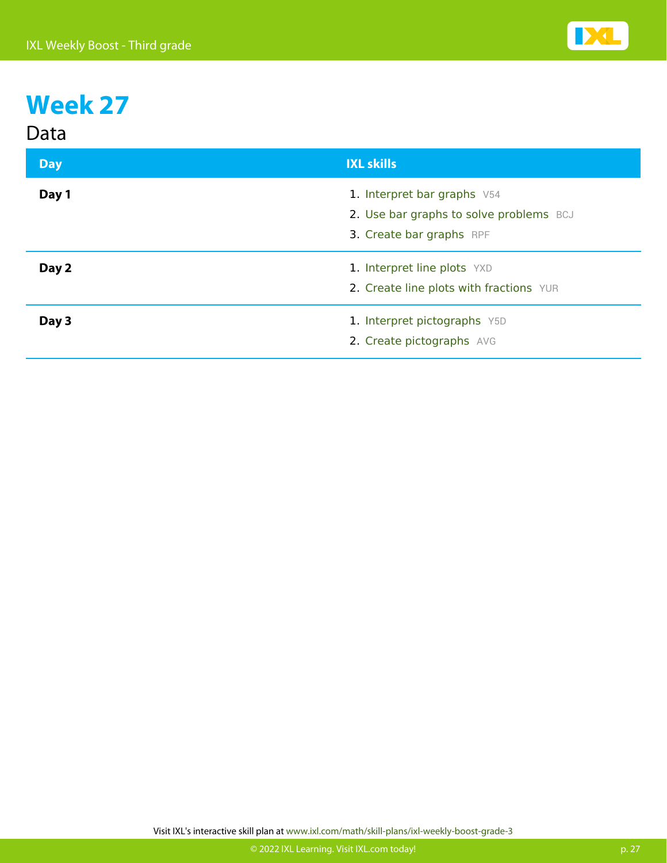| ш<br>۹.<br>r I<br>L |
|---------------------|
|---------------------|

| <b>Day</b> | <b>IXL skills</b>                                                                                  |
|------------|----------------------------------------------------------------------------------------------------|
| Day 1      | 1. Interpret bar graphs V54<br>2. Use bar graphs to solve problems BCJ<br>3. Create bar graphs RPF |
| Day 2      | 1. Interpret line plots YXD<br>2. Create line plots with fractions YUR                             |
| Day 3      | 1. Interpret pictographs Y5D<br>2. Create pictographs AVG                                          |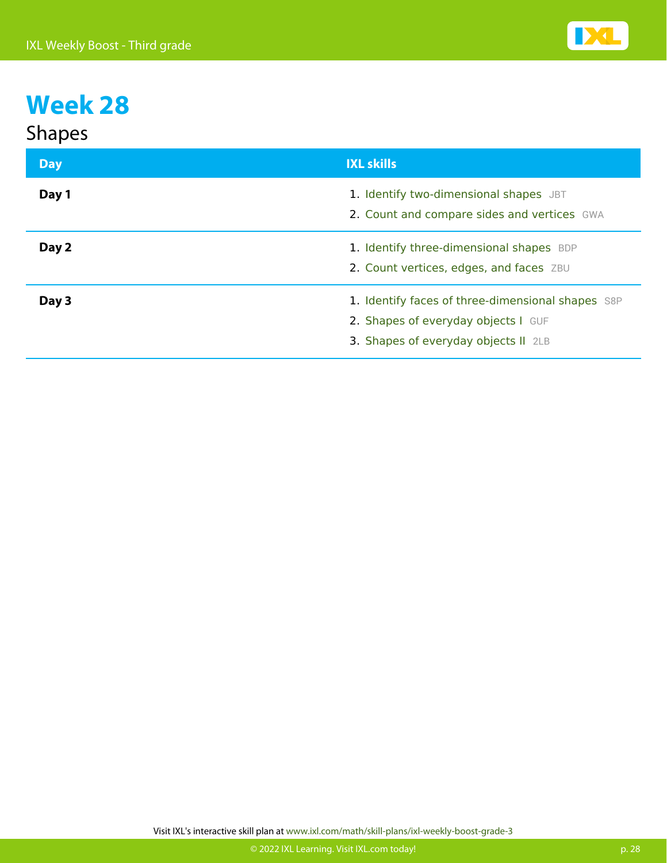| <b>Shapes</b> |
|---------------|
|---------------|

| <b>Day</b> | <b>IXL skills</b>                                                                                                                |
|------------|----------------------------------------------------------------------------------------------------------------------------------|
| Day 1      | 1. Identify two-dimensional shapes JBT<br>2. Count and compare sides and vertices GWA                                            |
| Day 2      | 1. Identify three-dimensional shapes BDP<br>2. Count vertices, edges, and faces ZBU                                              |
| Day 3      | 1. Identify faces of three-dimensional shapes S8P<br>2. Shapes of everyday objects I GUF<br>3. Shapes of everyday objects II 2LB |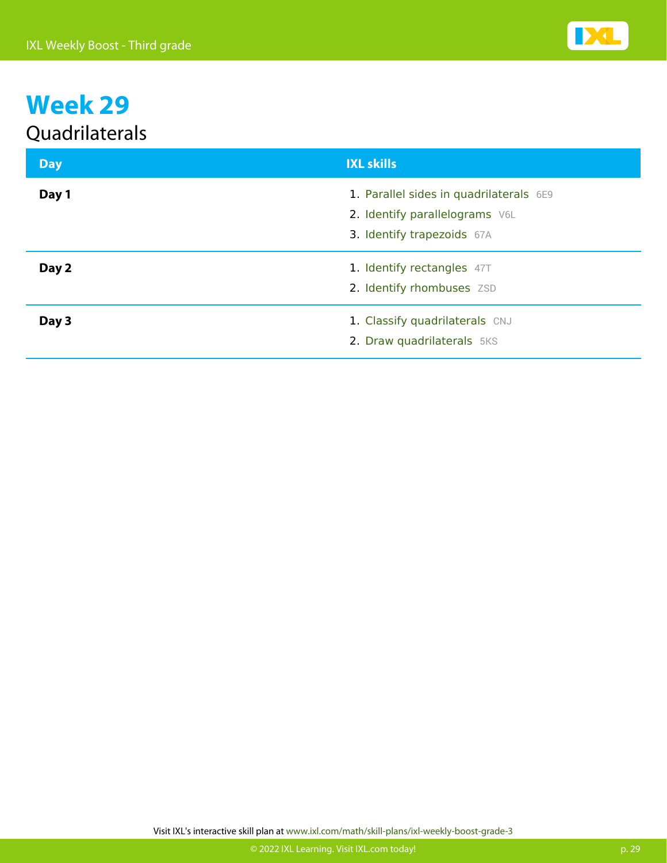#### Quadrilaterals

| <b>Day</b> | <b>IXL skills</b>                                                                                       |
|------------|---------------------------------------------------------------------------------------------------------|
| Day 1      | 1. Parallel sides in quadrilaterals 6E9<br>2. Identify parallelograms V6L<br>3. Identify trapezoids 67A |
| Day 2      | 1. Identify rectangles 47T<br>2. Identify rhombuses ZSD                                                 |
| Day 3      | 1. Classify quadrilaterals CNJ<br>2. Draw quadrilaterals 5KS                                            |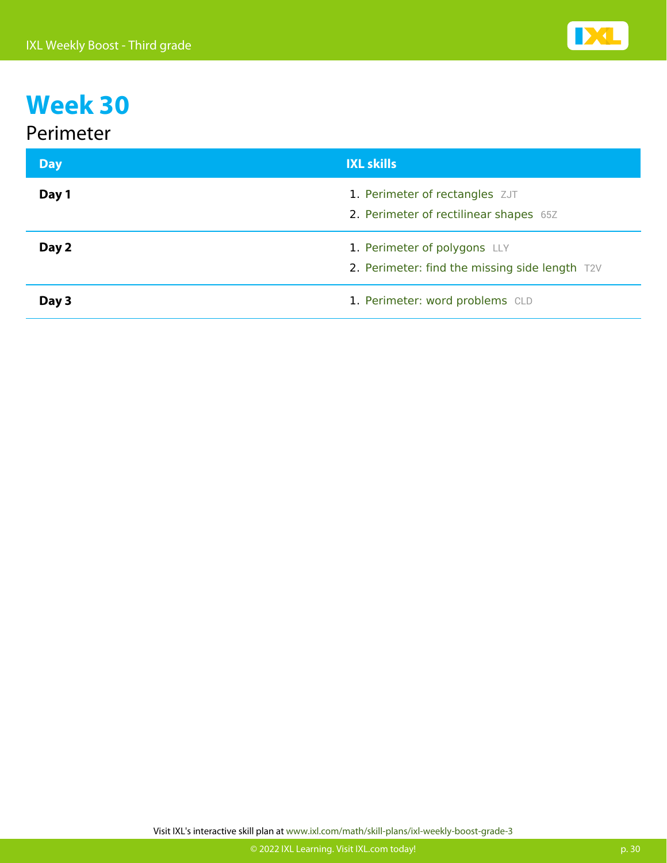#### Perimeter

| <b>Day</b> | <b>IXL skills</b>                                                              |
|------------|--------------------------------------------------------------------------------|
| Day 1      | 1. Perimeter of rectangles ZJT<br>2. Perimeter of rectilinear shapes 65Z       |
| Day 2      | 1. Perimeter of polygons LLY<br>2. Perimeter: find the missing side length T2V |
| Day 3      | 1. Perimeter: word problems CLD                                                |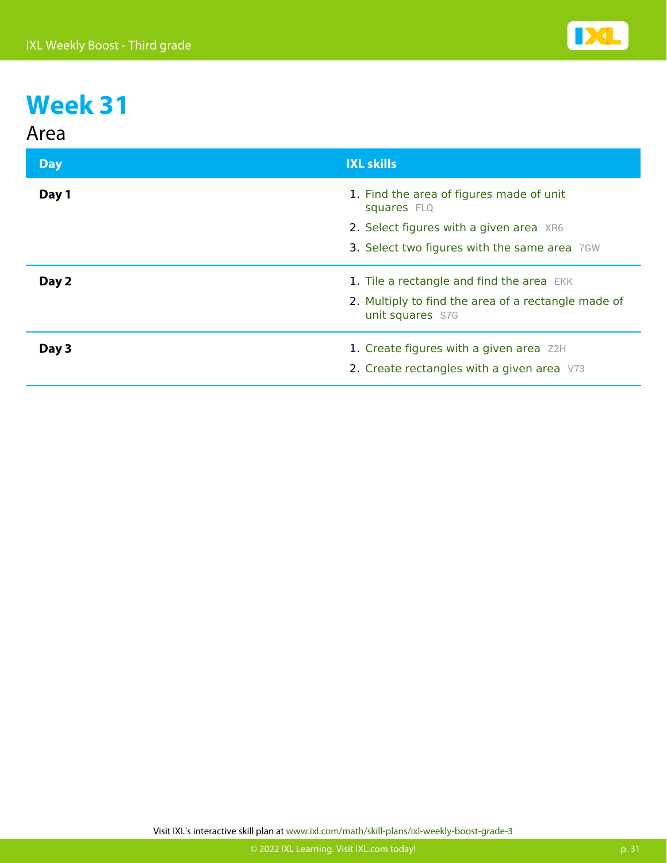

| Area       |                                                                                       |
|------------|---------------------------------------------------------------------------------------|
| <b>Day</b> | <b>IXL skills</b>                                                                     |
| Day 1      | 1. Find the area of figures made of unit<br>squares FLQ                               |
|            | 2. Select figures with a given area XR6                                               |
|            | 3. Select two figures with the same area 7GW                                          |
| Day 2      | 1. Tile a rectangle and find the area EKK                                             |
|            | 2. Multiply to find the area of a rectangle made of<br>unit squares S7G               |
| Day 3      | 1. Create figures with a given area Z2H<br>2. Create rectangles with a given area V73 |